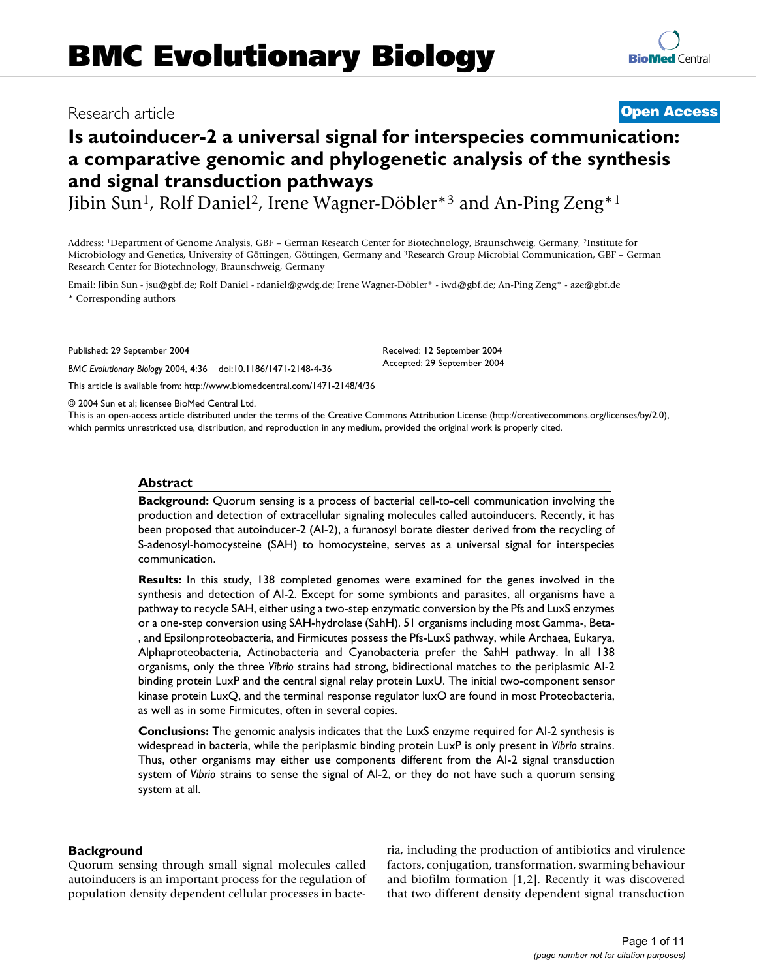# Research article **[Open Access](http://www.biomedcentral.com/info/about/charter/)**

# **Is autoinducer-2 a universal signal for interspecies communication: a comparative genomic and phylogenetic analysis of the synthesis and signal transduction pathways**

Jibin Sun1, Rolf Daniel2, Irene Wagner-Döbler\*3 and An-Ping Zeng\*1

Address: 1Department of Genome Analysis, GBF – German Research Center for Biotechnology, Braunschweig, Germany, 2Institute for Microbiology and Genetics, University of Göttingen, Göttingen, Germany and 3Research Group Microbial Communication, GBF – German Research Center for Biotechnology, Braunschweig, Germany

Email: Jibin Sun - jsu@gbf.de; Rolf Daniel - rdaniel@gwdg.de; Irene Wagner-Döbler\* - iwd@gbf.de; An-Ping Zeng\* - aze@gbf.de \* Corresponding authors

Published: 29 September 2004

*BMC Evolutionary Biology* 2004, **4**:36 doi:10.1186/1471-2148-4-36

[This article is available from: http://www.biomedcentral.com/1471-2148/4/36](http://www.biomedcentral.com/1471-2148/4/36)

© 2004 Sun et al; licensee BioMed Central Ltd.

This is an open-access article distributed under the terms of the Creative Commons Attribution License (<http://creativecommons.org/licenses/by/2.0>), which permits unrestricted use, distribution, and reproduction in any medium, provided the original work is properly cited.

Received: 12 September 2004 Accepted: 29 September 2004

#### **Abstract**

**Background:** Quorum sensing is a process of bacterial cell-to-cell communication involving the production and detection of extracellular signaling molecules called autoinducers. Recently, it has been proposed that autoinducer-2 (AI-2), a furanosyl borate diester derived from the recycling of S-adenosyl-homocysteine (SAH) to homocysteine, serves as a universal signal for interspecies communication.

**Results:** In this study, 138 completed genomes were examined for the genes involved in the synthesis and detection of AI-2. Except for some symbionts and parasites, all organisms have a pathway to recycle SAH, either using a two-step enzymatic conversion by the Pfs and LuxS enzymes or a one-step conversion using SAH-hydrolase (SahH). 51 organisms including most Gamma-, Beta- , and Epsilonproteobacteria, and Firmicutes possess the Pfs-LuxS pathway, while Archaea, Eukarya, Alphaproteobacteria, Actinobacteria and Cyanobacteria prefer the SahH pathway. In all 138 organisms, only the three *Vibrio* strains had strong, bidirectional matches to the periplasmic AI-2 binding protein LuxP and the central signal relay protein LuxU. The initial two-component sensor kinase protein LuxQ, and the terminal response regulator luxO are found in most Proteobacteria, as well as in some Firmicutes, often in several copies.

**Conclusions:** The genomic analysis indicates that the LuxS enzyme required for AI-2 synthesis is widespread in bacteria, while the periplasmic binding protein LuxP is only present in *Vibrio* strains. Thus, other organisms may either use components different from the AI-2 signal transduction system of *Vibrio* strains to sense the signal of AI-2, or they do not have such a quorum sensing system at all.

# **Background**

Quorum sensing through small signal molecules called autoinducers is an important process for the regulation of population density dependent cellular processes in bacteria, including the production of antibiotics and virulence factors, conjugation, transformation, swarming behaviour and biofilm formation [1,2]. Recently it was discovered that two different density dependent signal transduction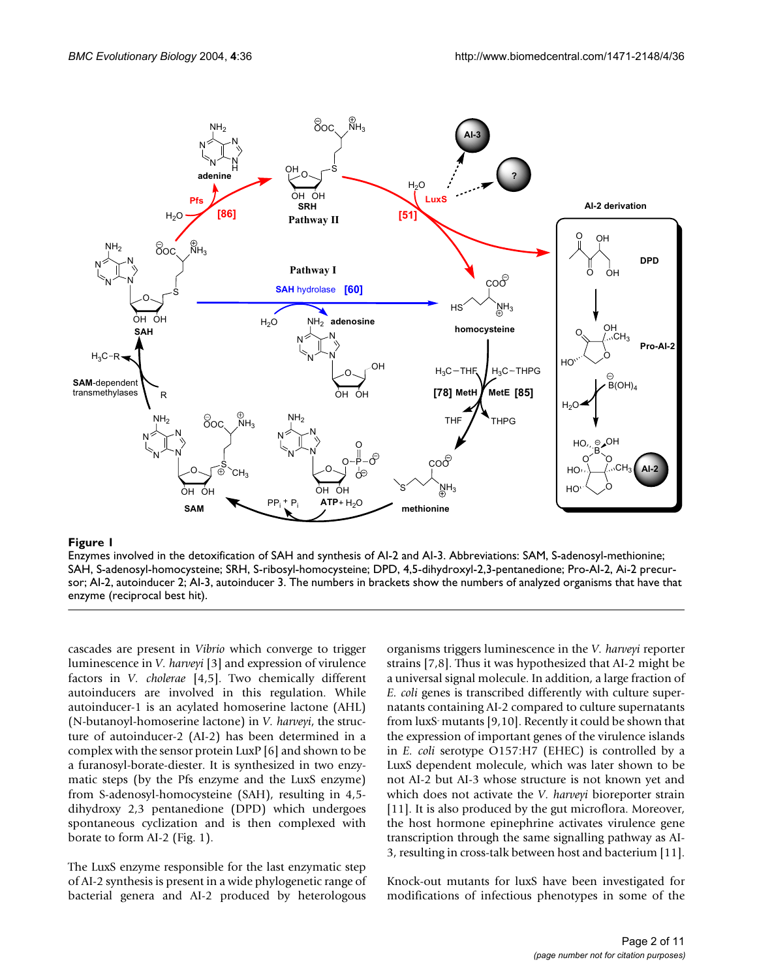

#### Figure 1

Enzymes involved in the detoxification of SAH and synthesis of AI-2 and AI-3. Abbreviations: SAM, S-adenosyl-methionine; SAH, S-adenosyl-homocysteine; SRH, S-ribosyl-homocysteine; DPD, 4,5-dihydroxyl-2,3-pentanedione; Pro-AI-2, Ai-2 precursor; AI-2, autoinducer 2; AI-3, autoinducer 3. The numbers in brackets show the numbers of analyzed organisms that have that enzyme (reciprocal best hit).

cascades are present in *Vibrio* which converge to trigger luminescence in *V. harveyi* [3] and expression of virulence factors in *V. cholerae* [4,5]. Two chemically different autoinducers are involved in this regulation. While autoinducer-1 is an acylated homoserine lactone (AHL) (N-butanoyl-homoserine lactone) in *V. harveyi*, the structure of autoinducer-2 (AI-2) has been determined in a complex with the sensor protein LuxP [6] and shown to be a furanosyl-borate-diester. It is synthesized in two enzymatic steps (by the Pfs enzyme and the LuxS enzyme) from S-adenosyl-homocysteine (SAH), resulting in 4,5 dihydroxy 2,3 pentanedione (DPD) which undergoes spontaneous cyclization and is then complexed with borate to form AI-2 (Fig. 1).

The LuxS enzyme responsible for the last enzymatic step of AI-2 synthesis is present in a wide phylogenetic range of bacterial genera and AI-2 produced by heterologous

organisms triggers luminescence in the *V. harveyi* reporter strains [7,8]. Thus it was hypothesized that AI-2 might be a universal signal molecule. In addition, a large fraction of *E. coli* genes is transcribed differently with culture supernatants containing AI-2 compared to culture supernatants from luxS- mutants [9,10]. Recently it could be shown that the expression of important genes of the virulence islands in *E. coli* serotype O157:H7 (EHEC) is controlled by a LuxS dependent molecule, which was later shown to be not AI-2 but AI-3 whose structure is not known yet and which does not activate the *V. harveyi* bioreporter strain [11]. It is also produced by the gut microflora. Moreover, the host hormone epinephrine activates virulence gene transcription through the same signalling pathway as AI-3, resulting in cross-talk between host and bacterium [11].

Knock-out mutants for luxS have been investigated for modifications of infectious phenotypes in some of the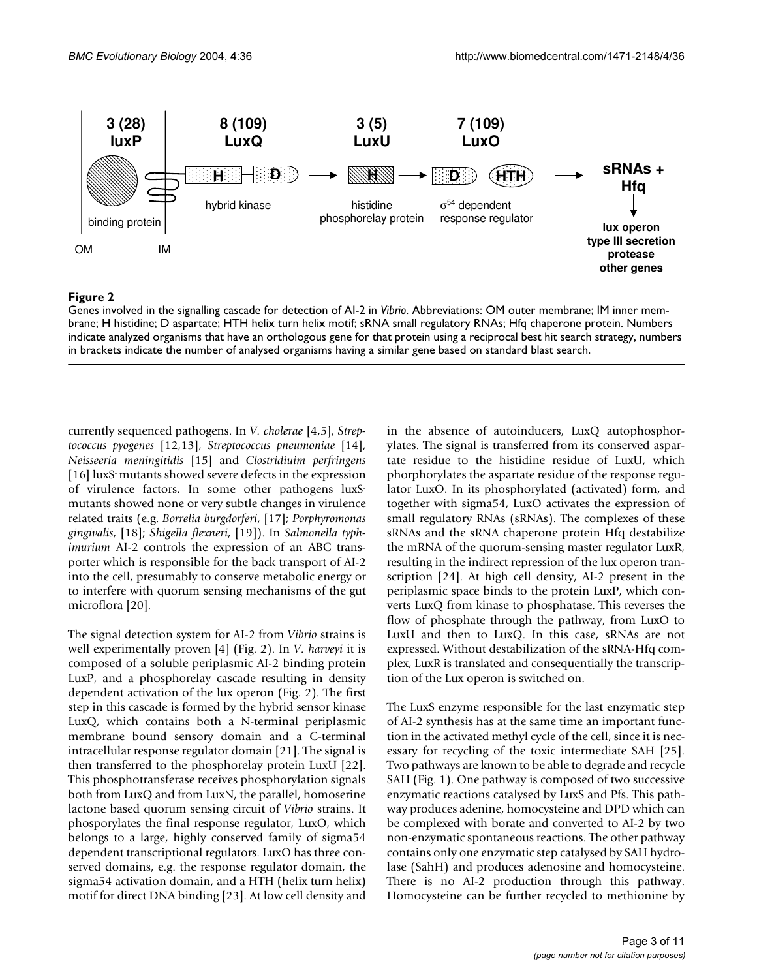

# Figure 2

Genes involved in the signalling cascade for detection of AI-2 in *Vibrio*. Abbreviations: OM outer membrane; IM inner membrane; H histidine; D aspartate; HTH helix turn helix motif; sRNA small regulatory RNAs; Hfq chaperone protein. Numbers indicate analyzed organisms that have an orthologous gene for that protein using a reciprocal best hit search strategy, numbers in brackets indicate the number of analysed organisms having a similar gene based on standard blast search.

currently sequenced pathogens. In *V. cholerae* [4,5], *Streptococcus pyogenes* [12,13], *Streptococcus pneumoniae* [14], *Neisseeria meningitidis* [15] and *Clostridiuim perfringens* [16] luxS- mutants showed severe defects in the expression of virulence factors. In some other pathogens luxSmutants showed none or very subtle changes in virulence related traits (e.g. *Borrelia burgdorferi*, [17]; *Porphyromonas gingivalis*, [18]; *Shigella flexneri*, [19]). In *Salmonella typhimurium* AI-2 controls the expression of an ABC transporter which is responsible for the back transport of AI-2 into the cell, presumably to conserve metabolic energy or to interfere with quorum sensing mechanisms of the gut microflora [20].

The signal detection system for AI-2 from *Vibrio* strains is well experimentally proven [4] (Fig. 2). In *V. harveyi* it is composed of a soluble periplasmic AI-2 binding protein LuxP, and a phosphorelay cascade resulting in density dependent activation of the lux operon (Fig. 2). The first step in this cascade is formed by the hybrid sensor kinase LuxQ, which contains both a N-terminal periplasmic membrane bound sensory domain and a C-terminal intracellular response regulator domain [21]. The signal is then transferred to the phosphorelay protein LuxU [22]. This phosphotransferase receives phosphorylation signals both from LuxQ and from LuxN, the parallel, homoserine lactone based quorum sensing circuit of *Vibrio* strains. It phosporylates the final response regulator, LuxO, which belongs to a large, highly conserved family of sigma54 dependent transcriptional regulators. LuxO has three conserved domains, e.g. the response regulator domain, the sigma54 activation domain, and a HTH (helix turn helix) motif for direct DNA binding [23]. At low cell density and

in the absence of autoinducers, LuxQ autophosphorylates. The signal is transferred from its conserved aspartate residue to the histidine residue of LuxU, which phorphorylates the aspartate residue of the response regulator LuxO. In its phosphorylated (activated) form, and together with sigma54, LuxO activates the expression of small regulatory RNAs (sRNAs). The complexes of these sRNAs and the sRNA chaperone protein Hfq destabilize the mRNA of the quorum-sensing master regulator LuxR, resulting in the indirect repression of the lux operon transcription [24]. At high cell density, AI-2 present in the periplasmic space binds to the protein LuxP, which converts LuxQ from kinase to phosphatase. This reverses the flow of phosphate through the pathway, from LuxO to LuxU and then to LuxQ. In this case, sRNAs are not expressed. Without destabilization of the sRNA-Hfq complex, LuxR is translated and consequentially the transcription of the Lux operon is switched on.

The LuxS enzyme responsible for the last enzymatic step of AI-2 synthesis has at the same time an important function in the activated methyl cycle of the cell, since it is necessary for recycling of the toxic intermediate SAH [25]. Two pathways are known to be able to degrade and recycle SAH (Fig. 1). One pathway is composed of two successive enzymatic reactions catalysed by LuxS and Pfs. This pathway produces adenine, homocysteine and DPD which can be complexed with borate and converted to AI-2 by two non-enzymatic spontaneous reactions. The other pathway contains only one enzymatic step catalysed by SAH hydrolase (SahH) and produces adenosine and homocysteine. There is no AI-2 production through this pathway. Homocysteine can be further recycled to methionine by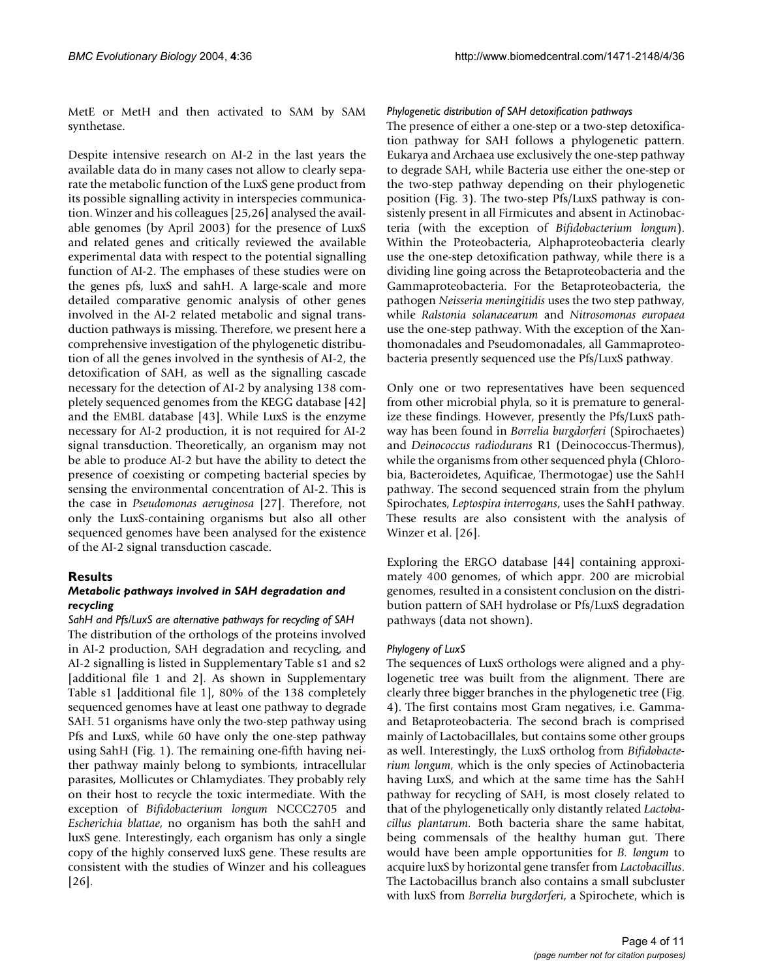MetE or MetH and then activated to SAM by SAM synthetase.

Despite intensive research on AI-2 in the last years the available data do in many cases not allow to clearly separate the metabolic function of the LuxS gene product from its possible signalling activity in interspecies communication. Winzer and his colleagues [25,26] analysed the available genomes (by April 2003) for the presence of LuxS and related genes and critically reviewed the available experimental data with respect to the potential signalling function of AI-2. The emphases of these studies were on the genes pfs, luxS and sahH. A large-scale and more detailed comparative genomic analysis of other genes involved in the AI-2 related metabolic and signal transduction pathways is missing. Therefore, we present here a comprehensive investigation of the phylogenetic distribution of all the genes involved in the synthesis of AI-2, the detoxification of SAH, as well as the signalling cascade necessary for the detection of AI-2 by analysing 138 completely sequenced genomes from the KEGG database [42] and the EMBL database [43]. While LuxS is the enzyme necessary for AI-2 production, it is not required for AI-2 signal transduction. Theoretically, an organism may not be able to produce AI-2 but have the ability to detect the presence of coexisting or competing bacterial species by sensing the environmental concentration of AI-2. This is the case in *Pseudomonas aeruginosa* [27]. Therefore, not only the LuxS-containing organisms but also all other sequenced genomes have been analysed for the existence of the AI-2 signal transduction cascade.

# **Results**

# *Metabolic pathways involved in SAH degradation and recycling*

*SahH and Pfs/LuxS are alternative pathways for recycling of SAH* The distribution of the orthologs of the proteins involved in AI-2 production, SAH degradation and recycling, and AI-2 signalling is listed in Supplementary Table s1 and s2 [additional file 1 and 2]. As shown in Supplementary Table s1 [additional file 1], 80% of the 138 completely sequenced genomes have at least one pathway to degrade SAH. 51 organisms have only the two-step pathway using Pfs and LuxS, while 60 have only the one-step pathway using SahH (Fig. 1). The remaining one-fifth having neither pathway mainly belong to symbionts, intracellular parasites, Mollicutes or Chlamydiates. They probably rely on their host to recycle the toxic intermediate. With the exception of *Bifidobacterium longum* NCCC2705 and *Escherichia blattae*, no organism has both the sahH and luxS gene. Interestingly, each organism has only a single copy of the highly conserved luxS gene. These results are consistent with the studies of Winzer and his colleagues [26].

#### *Phylogenetic distribution of SAH detoxification pathways*

The presence of either a one-step or a two-step detoxification pathway for SAH follows a phylogenetic pattern. Eukarya and Archaea use exclusively the one-step pathway to degrade SAH, while Bacteria use either the one-step or the two-step pathway depending on their phylogenetic position (Fig. [3](#page-4-0)). The two-step Pfs/LuxS pathway is consistenly present in all Firmicutes and absent in Actinobacteria (with the exception of *Bifidobacterium longum*). Within the Proteobacteria, Alphaproteobacteria clearly use the one-step detoxification pathway, while there is a dividing line going across the Betaproteobacteria and the Gammaproteobacteria. For the Betaproteobacteria, the pathogen *Neisseria meningitidis* uses the two step pathway, while *Ralstonia solanacearum* and *Nitrosomonas europaea* use the one-step pathway. With the exception of the Xanthomonadales and Pseudomonadales, all Gammaproteobacteria presently sequenced use the Pfs/LuxS pathway.

Only one or two representatives have been sequenced from other microbial phyla, so it is premature to generalize these findings. However, presently the Pfs/LuxS pathway has been found in *Borrelia burgdorferi* (Spirochaetes) and *Deinococcus radiodurans* R1 (Deinococcus-Thermus), while the organisms from other sequenced phyla (Chlorobia, Bacteroidetes, Aquificae, Thermotogae) use the SahH pathway. The second sequenced strain from the phylum Spirochates, *Leptospira interrogans*, uses the SahH pathway. These results are also consistent with the analysis of Winzer et al. [26].

Exploring the ERGO database [44] containing approximately 400 genomes, of which appr. 200 are microbial genomes, resulted in a consistent conclusion on the distribution pattern of SAH hydrolase or Pfs/LuxS degradation pathways (data not shown).

# *Phylogeny of LuxS*

The sequences of LuxS orthologs were aligned and a phylogenetic tree was built from the alignment. There are clearly three bigger branches in the phylogenetic tree (Fig. 4). The first contains most Gram negatives, i.e. Gammaand Betaproteobacteria. The second brach is comprised mainly of Lactobacillales, but contains some other groups as well. Interestingly, the LuxS ortholog from *Bifidobacterium longum*, which is the only species of Actinobacteria having LuxS, and which at the same time has the SahH pathway for recycling of SAH, is most closely related to that of the phylogenetically only distantly related *Lactobacillus plantarum.* Both bacteria share the same habitat, being commensals of the healthy human gut. There would have been ample opportunities for *B. longum* to acquire luxS by horizontal gene transfer from *Lactobacillus*. The Lactobacillus branch also contains a small subcluster with luxS from *Borrelia burgdorferi*, a Spirochete, which is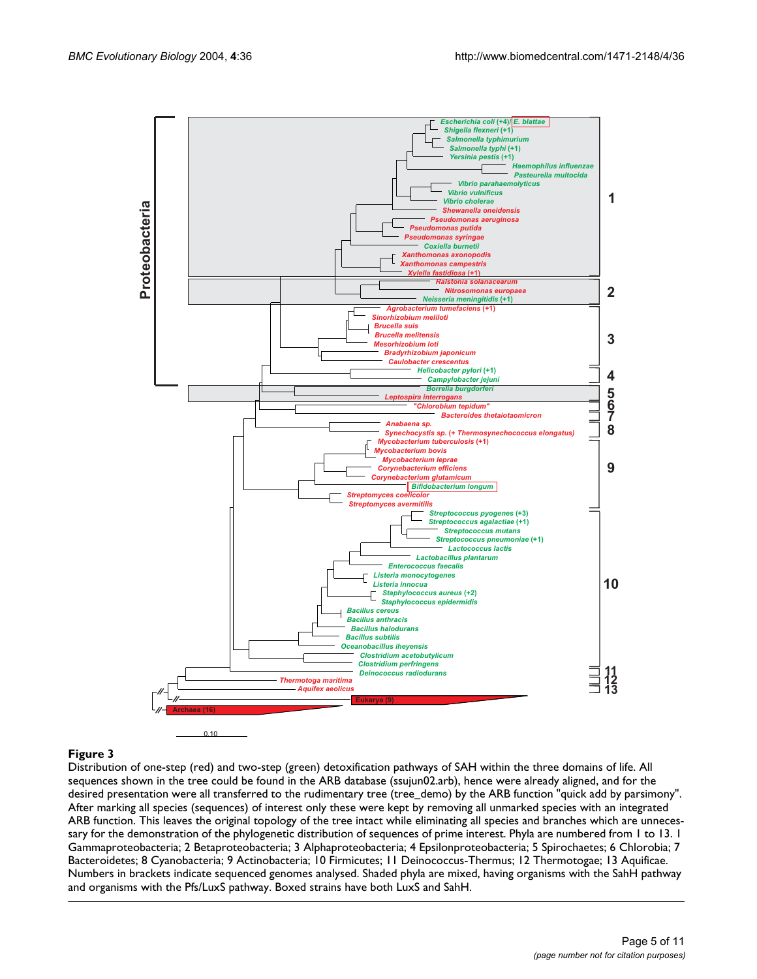<span id="page-4-0"></span>

Distribution of one-step (red) and two-step (green) detoxification pathways of SAH within the three domains of life. All sequences shown in the tree could be found in the ARB database (ssujun02.arb), hence were already aligned, and for the desired presentation were all transferred to the rudimentary tree (tree\_demo) by the ARB function "quick add by parsimony". After marking all species (sequences) of interest only these were kept by removing all unmarked species with an integrated ARB function. This leaves the original topology of the tree intact while eliminating all species and branches which are unnecessary for the demonstration of the phylogenetic distribution of sequences of prime interest. Phyla are numbered from 1 to 13. 1 Gammaproteobacteria; 2 Betaproteobacteria; 3 Alphaproteobacteria; 4 Epsilonproteobacteria; 5 Spirochaetes; 6 Chlorobia; 7 Bacteroidetes; 8 Cyanobacteria; 9 Actinobacteria; 10 Firmicutes; 11 Deinococcus-Thermus; 12 Thermotogae; 13 Aquificae. Numbers in brackets indicate sequenced genomes analysed. Shaded phyla are mixed, having organisms with the SahH pathway and organisms with the Pfs/LuxS pathway. Boxed strains have both LuxS and SahH.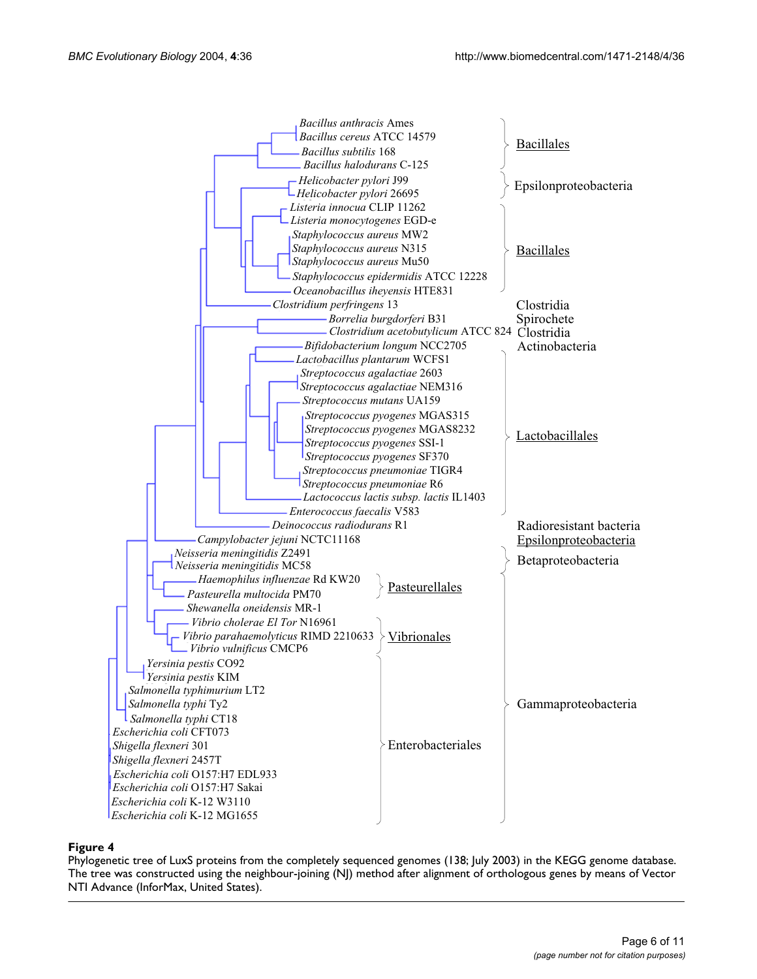

# Phylogenetic tree of LuxS proteins from the completely se **Figure 4** quenced genomes (138; July 2003) in the KEGG genome database

Phylogenetic tree of LuxS proteins from the completely sequenced genomes (138; July 2003) in the KEGG genome database. The tree was constructed using the neighbour-joining (NJ) method after alignment of orthologous genes by means of Vector NTI Advance (InforMax, United States).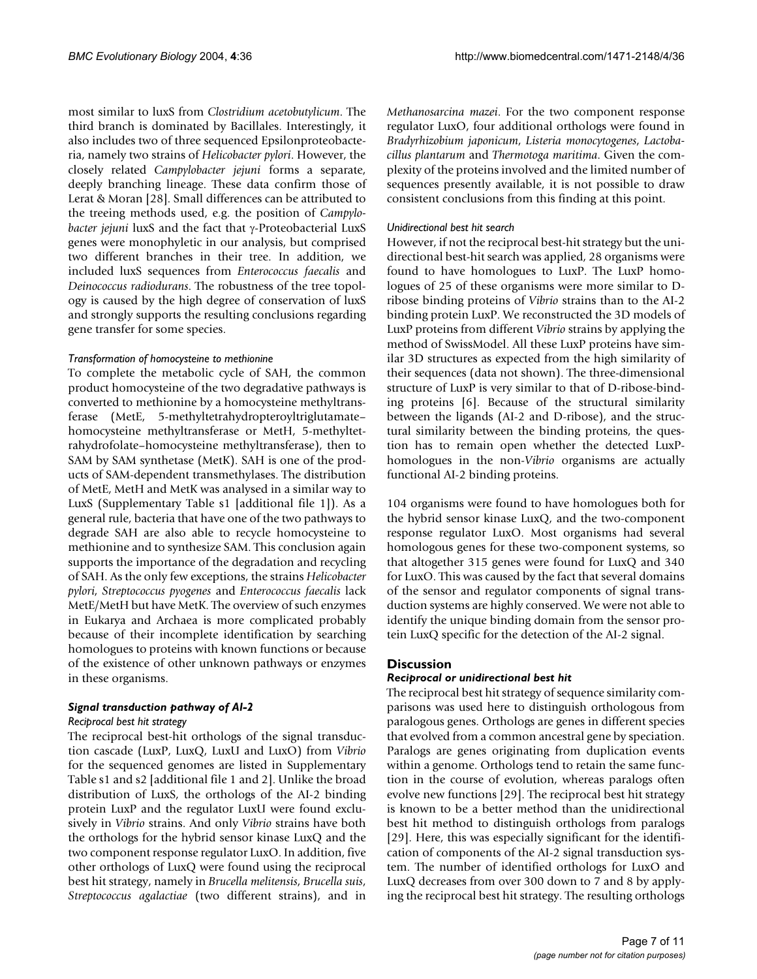most similar to luxS from *Clostridium acetobutylicum*. The third branch is dominated by Bacillales. Interestingly, it also includes two of three sequenced Epsilonproteobacteria, namely two strains of *Helicobacter pylori*. However, the closely related *Campylobacter jejuni* forms a separate, deeply branching lineage. These data confirm those of Lerat & Moran [28]. Small differences can be attributed to the treeing methods used, e.g. the position of *Campylobacter jejuni* luxS and the fact that γ-Proteobacterial LuxS genes were monophyletic in our analysis, but comprised two different branches in their tree. In addition, we included luxS sequences from *Enterococcus faecalis* and *Deinococcus radiodurans*. The robustness of the tree topology is caused by the high degree of conservation of luxS and strongly supports the resulting conclusions regarding gene transfer for some species.

#### *Transformation of homocysteine to methionine*

To complete the metabolic cycle of SAH, the common product homocysteine of the two degradative pathways is converted to methionine by a homocysteine methyltransferase (MetE, 5-methyltetrahydropteroyltriglutamate– homocysteine methyltransferase or MetH, 5-methyltetrahydrofolate–homocysteine methyltransferase), then to SAM by SAM synthetase (MetK). SAH is one of the products of SAM-dependent transmethylases. The distribution of MetE, MetH and MetK was analysed in a similar way to LuxS (Supplementary Table s1 [additional file 1]). As a general rule, bacteria that have one of the two pathways to degrade SAH are also able to recycle homocysteine to methionine and to synthesize SAM. This conclusion again supports the importance of the degradation and recycling of SAH. As the only few exceptions, the strains *Helicobacter pylori*, *Streptococcus pyogenes* and *Enterococcus faecalis* lack MetE/MetH but have MetK. The overview of such enzymes in Eukarya and Archaea is more complicated probably because of their incomplete identification by searching homologues to proteins with known functions or because of the existence of other unknown pathways or enzymes in these organisms.

# *Signal transduction pathway of AI-2*

#### *Reciprocal best hit strategy*

The reciprocal best-hit orthologs of the signal transduction cascade (LuxP, LuxQ, LuxU and LuxO) from *Vibrio* for the sequenced genomes are listed in Supplementary Table s1 and s2 [additional file 1 and 2]. Unlike the broad distribution of LuxS, the orthologs of the AI-2 binding protein LuxP and the regulator LuxU were found exclusively in *Vibrio* strains. And only *Vibrio* strains have both the orthologs for the hybrid sensor kinase LuxQ and the two component response regulator LuxO. In addition, five other orthologs of LuxQ were found using the reciprocal best hit strategy, namely in *Brucella melitensis*, *Brucella suis*, *Streptococcus agalactiae* (two different strains), and in *Methanosarcina mazei*. For the two component response regulator LuxO, four additional orthologs were found in *Bradyrhizobium japonicum*, *Listeria monocytogenes*, *Lactobacillus plantarum* and *Thermotoga maritima*. Given the complexity of the proteins involved and the limited number of sequences presently available, it is not possible to draw consistent conclusions from this finding at this point.

#### *Unidirectional best hit search*

However, if not the reciprocal best-hit strategy but the unidirectional best-hit search was applied, 28 organisms were found to have homologues to LuxP. The LuxP homologues of 25 of these organisms were more similar to Dribose binding proteins of *Vibrio* strains than to the AI-2 binding protein LuxP. We reconstructed the 3D models of LuxP proteins from different *Vibrio* strains by applying the method of SwissModel. All these LuxP proteins have similar 3D structures as expected from the high similarity of their sequences (data not shown). The three-dimensional structure of LuxP is very similar to that of D-ribose-binding proteins [6]. Because of the structural similarity between the ligands (AI-2 and D-ribose), and the structural similarity between the binding proteins, the question has to remain open whether the detected LuxPhomologues in the non-*Vibrio* organisms are actually functional AI-2 binding proteins.

104 organisms were found to have homologues both for the hybrid sensor kinase LuxQ, and the two-component response regulator LuxO. Most organisms had several homologous genes for these two-component systems, so that altogether 315 genes were found for LuxQ and 340 for LuxO. This was caused by the fact that several domains of the sensor and regulator components of signal transduction systems are highly conserved. We were not able to identify the unique binding domain from the sensor protein LuxQ specific for the detection of the AI-2 signal.

# **Discussion**

#### *Reciprocal or unidirectional best hit*

The reciprocal best hit strategy of sequence similarity comparisons was used here to distinguish orthologous from paralogous genes. Orthologs are genes in different species that evolved from a common ancestral gene by speciation. Paralogs are genes originating from duplication events within a genome. Orthologs tend to retain the same function in the course of evolution, whereas paralogs often evolve new functions [29]. The reciprocal best hit strategy is known to be a better method than the unidirectional best hit method to distinguish orthologs from paralogs [29]. Here, this was especially significant for the identification of components of the AI-2 signal transduction system. The number of identified orthologs for LuxO and LuxQ decreases from over 300 down to 7 and 8 by applying the reciprocal best hit strategy. The resulting orthologs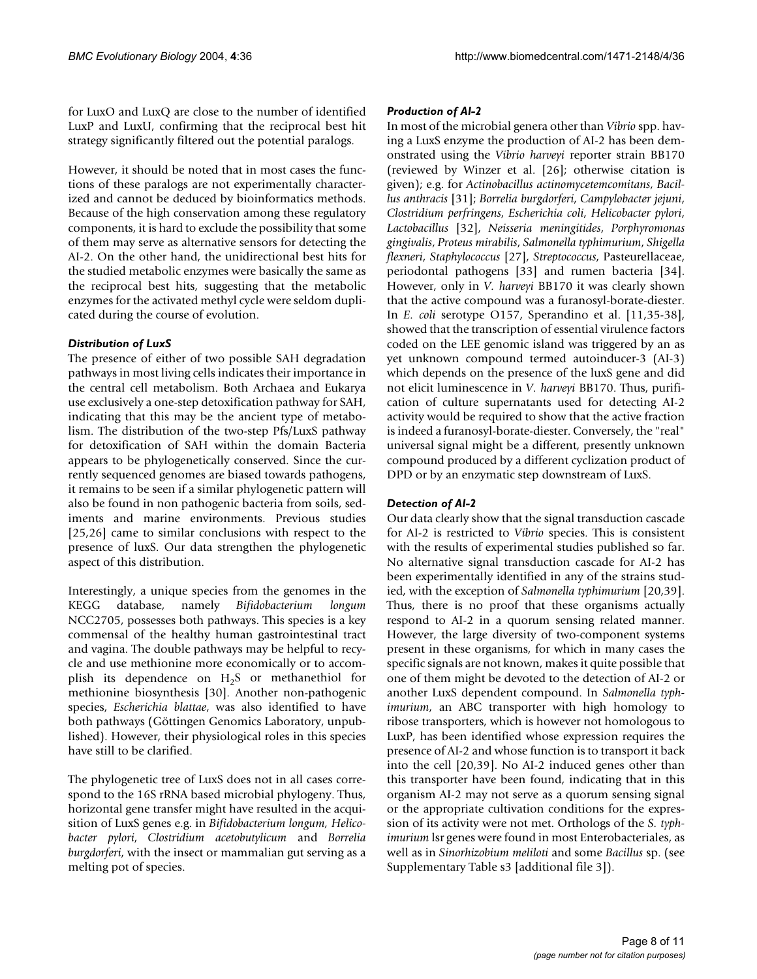for LuxO and LuxQ are close to the number of identified LuxP and LuxU, confirming that the reciprocal best hit strategy significantly filtered out the potential paralogs.

However, it should be noted that in most cases the functions of these paralogs are not experimentally characterized and cannot be deduced by bioinformatics methods. Because of the high conservation among these regulatory components, it is hard to exclude the possibility that some of them may serve as alternative sensors for detecting the AI-2. On the other hand, the unidirectional best hits for the studied metabolic enzymes were basically the same as the reciprocal best hits, suggesting that the metabolic enzymes for the activated methyl cycle were seldom duplicated during the course of evolution.

# *Distribution of LuxS*

The presence of either of two possible SAH degradation pathways in most living cells indicates their importance in the central cell metabolism. Both Archaea and Eukarya use exclusively a one-step detoxification pathway for SAH, indicating that this may be the ancient type of metabolism. The distribution of the two-step Pfs/LuxS pathway for detoxification of SAH within the domain Bacteria appears to be phylogenetically conserved. Since the currently sequenced genomes are biased towards pathogens, it remains to be seen if a similar phylogenetic pattern will also be found in non pathogenic bacteria from soils, sediments and marine environments. Previous studies [25,26] came to similar conclusions with respect to the presence of luxS. Our data strengthen the phylogenetic aspect of this distribution.

Interestingly, a unique species from the genomes in the KEGG database, namely *Bifidobacterium longum* NCC2705, possesses both pathways. This species is a key commensal of the healthy human gastrointestinal tract and vagina. The double pathways may be helpful to recycle and use methionine more economically or to accomplish its dependence on  $H_2S$  or methanethiol for methionine biosynthesis [30]. Another non-pathogenic species, *Escherichia blattae*, was also identified to have both pathways (Göttingen Genomics Laboratory, unpublished). However, their physiological roles in this species have still to be clarified.

The phylogenetic tree of LuxS does not in all cases correspond to the 16S rRNA based microbial phylogeny. Thus, horizontal gene transfer might have resulted in the acquisition of LuxS genes e.g. in *Bifidobacterium longum, Helicobacter pylori*, *Clostridium acetobutylicum* and *Borrelia burgdorferi*, with the insect or mammalian gut serving as a melting pot of species.

# *Production of AI-2*

In most of the microbial genera other than *Vibrio* spp. having a LuxS enzyme the production of AI-2 has been demonstrated using the *Vibrio harveyi* reporter strain BB170 (reviewed by Winzer et al. [26]; otherwise citation is given); e.g. for *Actinobacillus actinomycetemcomitans*, *Bacillus anthracis* [31]; *Borrelia burgdorferi*, *Campylobacter jejuni*, *Clostridium perfringens*, *Escherichia coli*, *Helicobacter pylori*, *Lactobacillus* [32], *Neisseria meningitides*, *Porphyromonas gingivalis*, *Proteus mirabilis*, *Salmonella typhimurium*, *Shigella flexneri*, *Staphylococcus* [27], *Streptococcus*, Pasteurellaceae, periodontal pathogens [33] and rumen bacteria [34]. However, only in *V. harveyi* BB170 it was clearly shown that the active compound was a furanosyl-borate-diester. In *E. coli* serotype O157, Sperandino et al. [11,35-38], showed that the transcription of essential virulence factors coded on the LEE genomic island was triggered by an as yet unknown compound termed autoinducer-3 (AI-3) which depends on the presence of the luxS gene and did not elicit luminescence in *V. harveyi* BB170. Thus, purification of culture supernatants used for detecting AI-2 activity would be required to show that the active fraction is indeed a furanosyl-borate-diester. Conversely, the "real" universal signal might be a different, presently unknown compound produced by a different cyclization product of DPD or by an enzymatic step downstream of LuxS.

# *Detection of AI-2*

Our data clearly show that the signal transduction cascade for AI-2 is restricted to *Vibrio* species. This is consistent with the results of experimental studies published so far. No alternative signal transduction cascade for AI-2 has been experimentally identified in any of the strains studied, with the exception of *Salmonella typhimurium* [20,39]. Thus, there is no proof that these organisms actually respond to AI-2 in a quorum sensing related manner. However, the large diversity of two-component systems present in these organisms, for which in many cases the specific signals are not known, makes it quite possible that one of them might be devoted to the detection of AI-2 or another LuxS dependent compound. In *Salmonella typhimurium*, an ABC transporter with high homology to ribose transporters, which is however not homologous to LuxP, has been identified whose expression requires the presence of AI-2 and whose function is to transport it back into the cell [20,39]. No AI-2 induced genes other than this transporter have been found, indicating that in this organism AI-2 may not serve as a quorum sensing signal or the appropriate cultivation conditions for the expression of its activity were not met. Orthologs of the *S. typhimurium* lsr genes were found in most Enterobacteriales, as well as in *Sinorhizobium meliloti* and some *Bacillus* sp. (see Supplementary Table s3 [additional file 3]).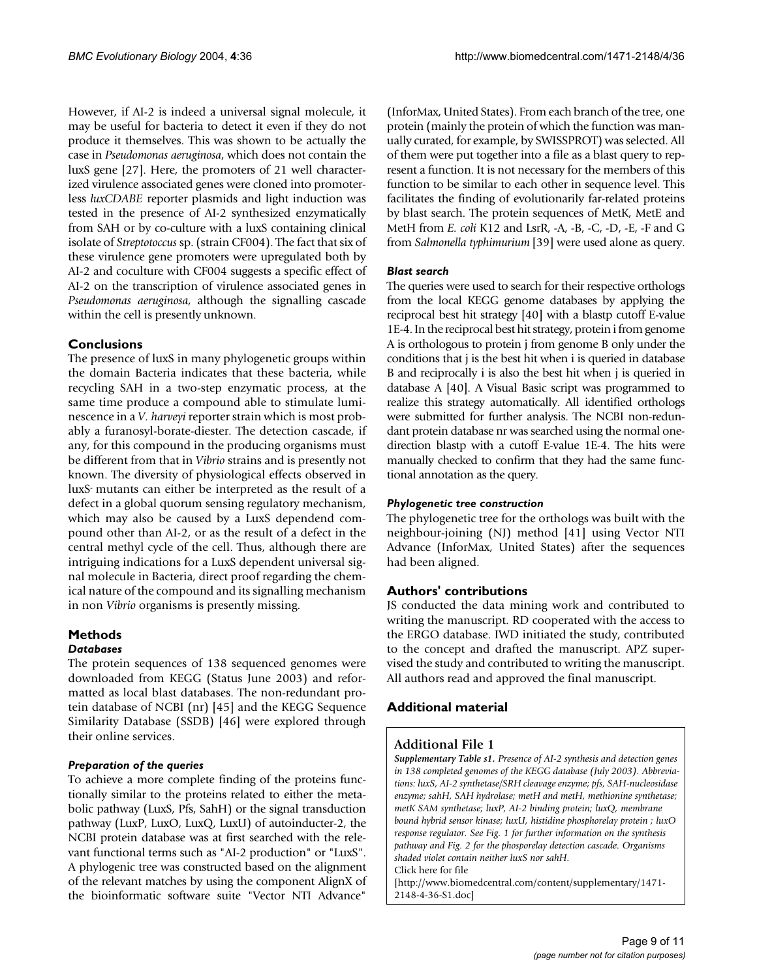However, if AI-2 is indeed a universal signal molecule, it may be useful for bacteria to detect it even if they do not produce it themselves. This was shown to be actually the case in *Pseudomonas aeruginosa*, which does not contain the luxS gene [27]. Here, the promoters of 21 well characterized virulence associated genes were cloned into promoterless *luxCDABE* reporter plasmids and light induction was tested in the presence of AI-2 synthesized enzymatically from SAH or by co-culture with a luxS containing clinical isolate of *Streptotoccus* sp. (strain CF004). The fact that six of these virulence gene promoters were upregulated both by AI-2 and coculture with CF004 suggests a specific effect of AI-2 on the transcription of virulence associated genes in *Pseudomonas aeruginosa*, although the signalling cascade within the cell is presently unknown.

# **Conclusions**

The presence of luxS in many phylogenetic groups within the domain Bacteria indicates that these bacteria, while recycling SAH in a two-step enzymatic process, at the same time produce a compound able to stimulate luminescence in a *V. harveyi* reporter strain which is most probably a furanosyl-borate-diester. The detection cascade, if any, for this compound in the producing organisms must be different from that in *Vibrio* strains and is presently not known. The diversity of physiological effects observed in luxS- mutants can either be interpreted as the result of a defect in a global quorum sensing regulatory mechanism, which may also be caused by a LuxS dependend compound other than AI-2, or as the result of a defect in the central methyl cycle of the cell. Thus, although there are intriguing indications for a LuxS dependent universal signal molecule in Bacteria, direct proof regarding the chemical nature of the compound and its signalling mechanism in non *Vibrio* organisms is presently missing.

# **Methods**

# *Databases*

The protein sequences of 138 sequenced genomes were downloaded from KEGG (Status June 2003) and reformatted as local blast databases. The non-redundant protein database of NCBI (nr) [45] and the KEGG Sequence Similarity Database (SSDB) [46] were explored through their online services.

# *Preparation of the queries*

To achieve a more complete finding of the proteins functionally similar to the proteins related to either the metabolic pathway (LuxS, Pfs, SahH) or the signal transduction pathway (LuxP, LuxO, LuxQ, LuxU) of autoinducter-2, the NCBI protein database was at first searched with the relevant functional terms such as "AI-2 production" or "LuxS". A phylogenic tree was constructed based on the alignment of the relevant matches by using the component AlignX of the bioinformatic software suite "Vector NTI Advance"

(InforMax, United States). From each branch of the tree, one protein (mainly the protein of which the function was manually curated, for example, by SWISSPROT) was selected. All of them were put together into a file as a blast query to represent a function. It is not necessary for the members of this function to be similar to each other in sequence level. This facilitates the finding of evolutionarily far-related proteins by blast search. The protein sequences of MetK, MetE and MetH from *E. coli* K12 and LsrR, -A, -B, -C, -D, -E, -F and G from *Salmonella typhimurium* [39] were used alone as query.

# *Blast search*

The queries were used to search for their respective orthologs from the local KEGG genome databases by applying the reciprocal best hit strategy [40] with a blastp cutoff E-value 1E-4. In the reciprocal best hit strategy, protein i from genome A is orthologous to protein j from genome B only under the conditions that j is the best hit when i is queried in database B and reciprocally i is also the best hit when j is queried in database A [40]. A Visual Basic script was programmed to realize this strategy automatically. All identified orthologs were submitted for further analysis. The NCBI non-redundant protein database nr was searched using the normal onedirection blastp with a cutoff E-value 1E-4. The hits were manually checked to confirm that they had the same functional annotation as the query.

# *Phylogenetic tree construction*

The phylogenetic tree for the orthologs was built with the neighbour-joining (NJ) method [41] using Vector NTI Advance (InforMax, United States) after the sequences had been aligned.

# **Authors' contributions**

JS conducted the data mining work and contributed to writing the manuscript. RD cooperated with the access to the ERGO database. IWD initiated the study, contributed to the concept and drafted the manuscript. APZ supervised the study and contributed to writing the manuscript. All authors read and approved the final manuscript.

# **Additional material**

# **Additional File 1**

*Supplementary Table s1. Presence of AI-2 synthesis and detection genes in 138 completed genomes of the KEGG database (July 2003). Abbreviations: luxS, AI-2 synthetase/SRH cleavage enzyme; pfs, SAH-nucleosidase enzyme; sahH, SAH hydrolase; metH and metH, methionine synthetase; metK SAM synthetase; luxP, AI-2 binding protein; luxQ, membrane bound hybrid sensor kinase; luxU, histidine phosphorelay protein ; luxO response regulator. See Fig. 1 for further information on the synthesis pathway and Fig. 2 for the phosporelay detection cascade. Organisms shaded violet contain neither luxS nor sahH.* Click here for file

[\[http://www.biomedcentral.com/content/supplementary/1471-](http://www.biomedcentral.com/content/supplementary/1471-2148-4-36-S1.doc) 2148-4-36-S1.doc]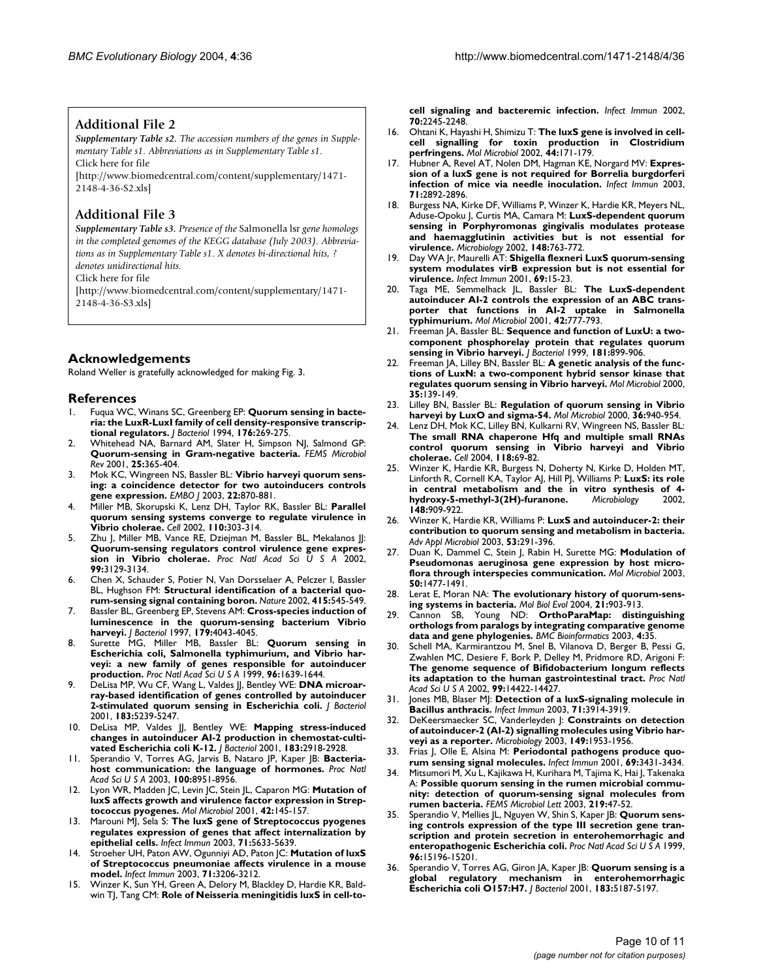#### **Additional File 2**

*Supplementary Table s2. The accession numbers of the genes in Supplementary Table s1. Abbreviations as in Supplementary Table s1.* Click here for file

[\[http://www.biomedcentral.com/content/supplementary/1471-](http://www.biomedcentral.com/content/supplementary/1471-2148-4-36-S2.xls) 2148-4-36-S2.xls]

# **Additional File 3**

*Supplementary Table s3. Presence of the* Salmonella lsr *gene homologs in the completed genomes of the KEGG database (July 2003). Abbreviations as in Supplementary Table s1. X denotes bi-directional hits, ? denotes unidirectional hits.*

Click here for file

[\[http://www.biomedcentral.com/content/supplementary/1471-](http://www.biomedcentral.com/content/supplementary/1471-2148-4-36-S3.xls) 2148-4-36-S3.xls]

#### **Acknowledgements**

Roland Weller is gratefully acknowledged for making Fig. [3](#page-4-0).

#### **References**

- 1. Fuqua WC, Winans SC, Greenberg EP: **[Quorum sensing in bacte](http://www.ncbi.nlm.nih.gov/entrez/query.fcgi?cmd=Retrieve&db=PubMed&dopt=Abstract&list_uids=8288518)[ria: the LuxR-LuxI family of cell density-responsive transcrip](http://www.ncbi.nlm.nih.gov/entrez/query.fcgi?cmd=Retrieve&db=PubMed&dopt=Abstract&list_uids=8288518)[tional regulators.](http://www.ncbi.nlm.nih.gov/entrez/query.fcgi?cmd=Retrieve&db=PubMed&dopt=Abstract&list_uids=8288518)** *J Bacteriol* 1994, **176:**269-275.
- 2. Whitehead NA, Barnard AM, Slater H, Simpson NJ, Salmond GP: **[Quorum-sensing in Gram-negative bacteria.](http://www.ncbi.nlm.nih.gov/entrez/query.fcgi?cmd=Retrieve&db=PubMed&dopt=Abstract&list_uids=11524130)** *FEMS Microbiol Rev* 2001, **25:**365-404.
- 3. Mok KC, Wingreen NS, Bassler BL: **[Vibrio harveyi quorum sens](http://www.ncbi.nlm.nih.gov/entrez/query.fcgi?cmd=Retrieve&db=PubMed&dopt=Abstract&list_uids=12574123)[ing: a coincidence detector for two autoinducers controls](http://www.ncbi.nlm.nih.gov/entrez/query.fcgi?cmd=Retrieve&db=PubMed&dopt=Abstract&list_uids=12574123) [gene expression.](http://www.ncbi.nlm.nih.gov/entrez/query.fcgi?cmd=Retrieve&db=PubMed&dopt=Abstract&list_uids=12574123)** *EMBO J* 2003, **22:**870-881.
- 4. Miller MB, Skorupski K, Lenz DH, Taylor RK, Bassler BL: **[Parallel](http://www.ncbi.nlm.nih.gov/entrez/query.fcgi?cmd=Retrieve&db=PubMed&dopt=Abstract&list_uids=12176318) [quorum sensing systems converge to regulate virulence in](http://www.ncbi.nlm.nih.gov/entrez/query.fcgi?cmd=Retrieve&db=PubMed&dopt=Abstract&list_uids=12176318) [Vibrio cholerae.](http://www.ncbi.nlm.nih.gov/entrez/query.fcgi?cmd=Retrieve&db=PubMed&dopt=Abstract&list_uids=12176318)** *Cell* 2002, **110:**303-314.
- 5. Zhu J, Miller MB, Vance RE, Dziejman M, Bassler BL, Mekalanos JJ: **[Quorum-sensing regulators control virulence gene expres](http://www.ncbi.nlm.nih.gov/entrez/query.fcgi?cmd=Retrieve&db=PubMed&dopt=Abstract&list_uids=11854465)[sion in Vibrio cholerae.](http://www.ncbi.nlm.nih.gov/entrez/query.fcgi?cmd=Retrieve&db=PubMed&dopt=Abstract&list_uids=11854465)** *Proc Natl Acad Sci U S A* 2002, **99:**3129-3134.
- 6. Chen X, Schauder S, Potier N, Van Dorsselaer A, Pelczer I, Bassler BL, Hughson FM: **[Structural identification of a bacterial quo](http://www.ncbi.nlm.nih.gov/entrez/query.fcgi?cmd=Retrieve&db=PubMed&dopt=Abstract&list_uids=11823863)[rum-sensing signal containing boron.](http://www.ncbi.nlm.nih.gov/entrez/query.fcgi?cmd=Retrieve&db=PubMed&dopt=Abstract&list_uids=11823863)** *Nature* 2002, **415:**545-549.
- 7. Bassler BL, Greenberg EP, Stevens AM: **[Cross-species induction of](http://www.ncbi.nlm.nih.gov/entrez/query.fcgi?cmd=Retrieve&db=PubMed&dopt=Abstract&list_uids=9190823) [luminescence in the quorum-sensing bacterium Vibrio](http://www.ncbi.nlm.nih.gov/entrez/query.fcgi?cmd=Retrieve&db=PubMed&dopt=Abstract&list_uids=9190823) [harveyi.](http://www.ncbi.nlm.nih.gov/entrez/query.fcgi?cmd=Retrieve&db=PubMed&dopt=Abstract&list_uids=9190823)** *J Bacteriol* 1997, **179:**4043-4045.
- 8. Surette MG, Miller MB, Bassler BL: **[Quorum sensing in](http://www.ncbi.nlm.nih.gov/entrez/query.fcgi?cmd=Retrieve&db=PubMed&dopt=Abstract&list_uids=9990077) [Escherichia coli, Salmonella typhimurium, and Vibrio har](http://www.ncbi.nlm.nih.gov/entrez/query.fcgi?cmd=Retrieve&db=PubMed&dopt=Abstract&list_uids=9990077)veyi: a new family of genes responsible for autoinducer [production.](http://www.ncbi.nlm.nih.gov/entrez/query.fcgi?cmd=Retrieve&db=PubMed&dopt=Abstract&list_uids=9990077)** *Proc Natl Acad Sci U S A* 1999, **96:**1639-1644.
- 9. DeLisa MP, Wu CF, Wang L, Valdes JJ, Bentley WE: **[DNA microar](http://www.ncbi.nlm.nih.gov/entrez/query.fcgi?cmd=Retrieve&db=PubMed&dopt=Abstract&list_uids=11514505)[ray-based identification of genes controlled by autoinducer](http://www.ncbi.nlm.nih.gov/entrez/query.fcgi?cmd=Retrieve&db=PubMed&dopt=Abstract&list_uids=11514505) [2-stimulated quorum sensing in Escherichia coli.](http://www.ncbi.nlm.nih.gov/entrez/query.fcgi?cmd=Retrieve&db=PubMed&dopt=Abstract&list_uids=11514505)** *J Bacteriol* 2001, **183:**5239-5247.
- 10. DeLisa MP, Valdes JJ, Bentley WE: **[Mapping stress-induced](http://www.ncbi.nlm.nih.gov/entrez/query.fcgi?cmd=Retrieve&db=PubMed&dopt=Abstract&list_uids=11292813) [changes in autoinducer AI-2 production in chemostat-culti](http://www.ncbi.nlm.nih.gov/entrez/query.fcgi?cmd=Retrieve&db=PubMed&dopt=Abstract&list_uids=11292813)[vated Escherichia coli K-12.](http://www.ncbi.nlm.nih.gov/entrez/query.fcgi?cmd=Retrieve&db=PubMed&dopt=Abstract&list_uids=11292813)** *J Bacteriol* 2001, **183:**2918-2928.
- 11. Sperandio V, Torres AG, Jarvis B, Nataro JP, Kaper JB: **[Bacteria](http://www.ncbi.nlm.nih.gov/entrez/query.fcgi?cmd=Retrieve&db=PubMed&dopt=Abstract&list_uids=12847292)[host communication: the language of hormones.](http://www.ncbi.nlm.nih.gov/entrez/query.fcgi?cmd=Retrieve&db=PubMed&dopt=Abstract&list_uids=12847292)** *Proc Natl Acad Sci U S A* 2003, **100:**8951-8956.
- 12. Lyon WR, Madden JC, Levin JC, Stein JL, Caparon MG: **[Mutation of](http://www.ncbi.nlm.nih.gov/entrez/query.fcgi?cmd=Retrieve&db=PubMed&dopt=Abstract&list_uids=11679074) [luxS affects growth and virulence factor expression in Strep](http://www.ncbi.nlm.nih.gov/entrez/query.fcgi?cmd=Retrieve&db=PubMed&dopt=Abstract&list_uids=11679074)[tococcus pyogenes.](http://www.ncbi.nlm.nih.gov/entrez/query.fcgi?cmd=Retrieve&db=PubMed&dopt=Abstract&list_uids=11679074)** *Mol Microbiol* 2001, **42:**145-157.
- 13. Marouni MJ, Sela S: **[The luxS gene of Streptococcus pyogenes](http://www.ncbi.nlm.nih.gov/entrez/query.fcgi?cmd=Retrieve&db=PubMed&dopt=Abstract&list_uids=14500483) [regulates expression of genes that affect internalization by](http://www.ncbi.nlm.nih.gov/entrez/query.fcgi?cmd=Retrieve&db=PubMed&dopt=Abstract&list_uids=14500483) [epithelial cells.](http://www.ncbi.nlm.nih.gov/entrez/query.fcgi?cmd=Retrieve&db=PubMed&dopt=Abstract&list_uids=14500483)** *Infect Immun* 2003, **71:**5633-5639.
- 14. Stroeher UH, Paton AW, Ogunniyi AD, Paton JC: **[Mutation of luxS](http://www.ncbi.nlm.nih.gov/entrez/query.fcgi?cmd=Retrieve&db=PubMed&dopt=Abstract&list_uids=12761100) [of Streptococcus pneumoniae affects virulence in a mouse](http://www.ncbi.nlm.nih.gov/entrez/query.fcgi?cmd=Retrieve&db=PubMed&dopt=Abstract&list_uids=12761100) [model.](http://www.ncbi.nlm.nih.gov/entrez/query.fcgi?cmd=Retrieve&db=PubMed&dopt=Abstract&list_uids=12761100)** *Infect Immun* 2003, **71:**3206-3212.
- 15. Winzer K, Sun YH, Green A, Delory M, Blackley D, Hardie KR, Baldwin TJ, Tang CM: **[Role of Neisseria meningitidis luxS in cell-to-](http://www.ncbi.nlm.nih.gov/entrez/query.fcgi?cmd=Retrieve&db=PubMed&dopt=Abstract&list_uids=11895997)**

**[cell signaling and bacteremic infection.](http://www.ncbi.nlm.nih.gov/entrez/query.fcgi?cmd=Retrieve&db=PubMed&dopt=Abstract&list_uids=11895997)** *Infect Immun* 2002, **70:**2245-2248.

- 16. Ohtani K, Hayashi H, Shimizu T: **[The luxS gene is involved in cell](http://www.ncbi.nlm.nih.gov/entrez/query.fcgi?cmd=Retrieve&db=PubMed&dopt=Abstract&list_uids=11967077)[cell signalling for toxin production in Clostridium](http://www.ncbi.nlm.nih.gov/entrez/query.fcgi?cmd=Retrieve&db=PubMed&dopt=Abstract&list_uids=11967077) [perfringens.](http://www.ncbi.nlm.nih.gov/entrez/query.fcgi?cmd=Retrieve&db=PubMed&dopt=Abstract&list_uids=11967077)** *Mol Microbiol* 2002, **44:**171-179.
- 17. Hubner A, Revel AT, Nolen DM, Hagman KE, Norgard MV: **[Expres](http://www.ncbi.nlm.nih.gov/entrez/query.fcgi?cmd=Retrieve&db=PubMed&dopt=Abstract&list_uids=12704164)[sion of a luxS gene is not required for Borrelia burgdorferi](http://www.ncbi.nlm.nih.gov/entrez/query.fcgi?cmd=Retrieve&db=PubMed&dopt=Abstract&list_uids=12704164) [infection of mice via needle inoculation.](http://www.ncbi.nlm.nih.gov/entrez/query.fcgi?cmd=Retrieve&db=PubMed&dopt=Abstract&list_uids=12704164)** *Infect Immun* 2003, **71:**2892-2896.
- 18. Burgess NA, Kirke DF, Williams P, Winzer K, Hardie KR, Meyers NL, Aduse-Opoku J, Curtis MA, Camara M: **[LuxS-dependent quorum](http://www.ncbi.nlm.nih.gov/entrez/query.fcgi?cmd=Retrieve&db=PubMed&dopt=Abstract&list_uids=11882711) sensing in Porphyromonas gingivalis modulates protease [and haemagglutinin activities but is not essential for](http://www.ncbi.nlm.nih.gov/entrez/query.fcgi?cmd=Retrieve&db=PubMed&dopt=Abstract&list_uids=11882711) [virulence.](http://www.ncbi.nlm.nih.gov/entrez/query.fcgi?cmd=Retrieve&db=PubMed&dopt=Abstract&list_uids=11882711)** *Microbiology* 2002, **148:**763-772.
- 19. Day WA Jr, Maurelli AT: **[Shigella flexneri LuxS quorum-sensing](http://www.ncbi.nlm.nih.gov/entrez/query.fcgi?cmd=Retrieve&db=PubMed&dopt=Abstract&list_uids=11119484) [system modulates virB expression but is not essential for](http://www.ncbi.nlm.nih.gov/entrez/query.fcgi?cmd=Retrieve&db=PubMed&dopt=Abstract&list_uids=11119484) [virulence.](http://www.ncbi.nlm.nih.gov/entrez/query.fcgi?cmd=Retrieve&db=PubMed&dopt=Abstract&list_uids=11119484)** *Infect Immun* 2001, **69:**15-23.
- 20. Taga ME, Semmelhack JL, Bassler BL: **[The LuxS-dependent](http://www.ncbi.nlm.nih.gov/entrez/query.fcgi?cmd=Retrieve&db=PubMed&dopt=Abstract&list_uids=11722742) [autoinducer AI-2 controls the expression of an ABC trans](http://www.ncbi.nlm.nih.gov/entrez/query.fcgi?cmd=Retrieve&db=PubMed&dopt=Abstract&list_uids=11722742)porter that functions in AI-2 uptake in Salmonella [typhimurium.](http://www.ncbi.nlm.nih.gov/entrez/query.fcgi?cmd=Retrieve&db=PubMed&dopt=Abstract&list_uids=11722742)** *Mol Microbiol* 2001, **42:**777-793.
- 21. Freeman JA, Bassler BL: **[Sequence and function of LuxU: a two](http://www.ncbi.nlm.nih.gov/entrez/query.fcgi?cmd=Retrieve&db=PubMed&dopt=Abstract&list_uids=9922254)[component phosphorelay protein that regulates quorum](http://www.ncbi.nlm.nih.gov/entrez/query.fcgi?cmd=Retrieve&db=PubMed&dopt=Abstract&list_uids=9922254) [sensing in Vibrio harveyi.](http://www.ncbi.nlm.nih.gov/entrez/query.fcgi?cmd=Retrieve&db=PubMed&dopt=Abstract&list_uids=9922254)** *J Bacteriol* 1999, **181:**899-906.
- 22. Freeman JA, Lilley BN, Bassler BL: **[A genetic analysis of the func](http://www.ncbi.nlm.nih.gov/entrez/query.fcgi?cmd=Retrieve&db=PubMed&dopt=Abstract&list_uids=10632884)[tions of LuxN: a two-component hybrid sensor kinase that](http://www.ncbi.nlm.nih.gov/entrez/query.fcgi?cmd=Retrieve&db=PubMed&dopt=Abstract&list_uids=10632884) [regulates quorum sensing in Vibrio harveyi.](http://www.ncbi.nlm.nih.gov/entrez/query.fcgi?cmd=Retrieve&db=PubMed&dopt=Abstract&list_uids=10632884)** *Mol Microbiol* 2000, **35:**139-149.
- 23. Lilley BN, Bassler BL: **[Regulation of quorum sensing in Vibrio](http://www.ncbi.nlm.nih.gov/entrez/query.fcgi?cmd=Retrieve&db=PubMed&dopt=Abstract&list_uids=10844680) [harveyi by LuxO and sigma-54.](http://www.ncbi.nlm.nih.gov/entrez/query.fcgi?cmd=Retrieve&db=PubMed&dopt=Abstract&list_uids=10844680)** *Mol Microbiol* 2000, **36:**940-954.
- 24. Lenz DH, Mok KC, Lilley BN, Kulkarni RV, Wingreen NS, Bassler BL: **The small RNA chaperone Hfq and multiple small RNAs [control quorum sensing in Vibrio harveyi and Vibrio](http://www.ncbi.nlm.nih.gov/entrez/query.fcgi?cmd=Retrieve&db=PubMed&dopt=Abstract&list_uids=15242645) [cholerae.](http://www.ncbi.nlm.nih.gov/entrez/query.fcgi?cmd=Retrieve&db=PubMed&dopt=Abstract&list_uids=15242645)** *Cell* 2004, **118:**69-82.
- 25. Winzer K, Hardie KR, Burgess N, Doherty N, Kirke D, Holden MT, Linforth R, Cornell KA, Taylor AJ, Hill PJ, Williams P: **[LuxS: its role](http://www.ncbi.nlm.nih.gov/entrez/query.fcgi?cmd=Retrieve&db=PubMed&dopt=Abstract&list_uids=11932438) [in central metabolism and the in vitro synthesis of 4](http://www.ncbi.nlm.nih.gov/entrez/query.fcgi?cmd=Retrieve&db=PubMed&dopt=Abstract&list_uids=11932438) [hydroxy-5-methyl-3\(2H\)-furanone.](http://www.ncbi.nlm.nih.gov/entrez/query.fcgi?cmd=Retrieve&db=PubMed&dopt=Abstract&list_uids=11932438)** *Microbiology* 2002, **148:**909-922.
- 26. Winzer K, Hardie KR, Williams P: **[LuxS and autoinducer-2: their](http://www.ncbi.nlm.nih.gov/entrez/query.fcgi?cmd=Retrieve&db=PubMed&dopt=Abstract&list_uids=14696323) [contribution to quorum sensing and metabolism in bacteria.](http://www.ncbi.nlm.nih.gov/entrez/query.fcgi?cmd=Retrieve&db=PubMed&dopt=Abstract&list_uids=14696323)** *Adv Appl Microbiol* 2003, **53:**291-396.
- 27. Duan K, Dammel C, Stein J, Rabin H, Surette MG: [Modulation of](http://www.ncbi.nlm.nih.gov/entrez/query.fcgi?cmd=Retrieve&db=PubMed&dopt=Abstract&list_uids=14651632) **[Pseudomonas aeruginosa gene expression by host micro](http://www.ncbi.nlm.nih.gov/entrez/query.fcgi?cmd=Retrieve&db=PubMed&dopt=Abstract&list_uids=14651632)[flora through interspecies communication.](http://www.ncbi.nlm.nih.gov/entrez/query.fcgi?cmd=Retrieve&db=PubMed&dopt=Abstract&list_uids=14651632)** *Mol Microbiol* 2003, **50:**1477-1491.
- 28. Lerat E, Moran NA: **[The evolutionary history of quorum-sens](http://www.ncbi.nlm.nih.gov/entrez/query.fcgi?cmd=Retrieve&db=PubMed&dopt=Abstract&list_uids=15014168)[ing systems in bacteria.](http://www.ncbi.nlm.nih.gov/entrez/query.fcgi?cmd=Retrieve&db=PubMed&dopt=Abstract&list_uids=15014168)** *Mol Biol Evol* 2004, **21:**903-913.
- 29. Cannon SB, Young ND: **[OrthoParaMap: distinguishing](http://www.ncbi.nlm.nih.gov/entrez/query.fcgi?cmd=Retrieve&db=PubMed&dopt=Abstract&list_uids=12952558) [orthologs from paralogs by integrating comparative genome](http://www.ncbi.nlm.nih.gov/entrez/query.fcgi?cmd=Retrieve&db=PubMed&dopt=Abstract&list_uids=12952558) [data and gene phylogenies.](http://www.ncbi.nlm.nih.gov/entrez/query.fcgi?cmd=Retrieve&db=PubMed&dopt=Abstract&list_uids=12952558)** *BMC Bioinformatics* 2003, **4:**35.
- 30. Schell MA, Karmirantzou M, Snel B, Vilanova D, Berger B, Pessi G, Zwahlen MC, Desiere F, Bork P, Delley M, Pridmore RD, Arigoni F: **[The genome sequence of Bifidobacterium longum reflects](http://www.ncbi.nlm.nih.gov/entrez/query.fcgi?cmd=Retrieve&db=PubMed&dopt=Abstract&list_uids=12381787) [its adaptation to the human gastrointestinal tract.](http://www.ncbi.nlm.nih.gov/entrez/query.fcgi?cmd=Retrieve&db=PubMed&dopt=Abstract&list_uids=12381787)** *Proc Natl Acad Sci U S A* 2002, **99:**14422-14427.
- 31. Jones MB, Blaser MJ: **[Detection of a luxS-signaling molecule in](http://www.ncbi.nlm.nih.gov/entrez/query.fcgi?cmd=Retrieve&db=PubMed&dopt=Abstract&list_uids=12819077) [Bacillus anthracis.](http://www.ncbi.nlm.nih.gov/entrez/query.fcgi?cmd=Retrieve&db=PubMed&dopt=Abstract&list_uids=12819077)** *Infect Immun* 2003, **71:**3914-3919.
- 32. DeKeersmaecker SC, Vanderleyden J: **[Constraints on detection](http://www.ncbi.nlm.nih.gov/entrez/query.fcgi?cmd=Retrieve&db=PubMed&dopt=Abstract&list_uids=12904534) [of autoinducer-2 \(AI-2\) signalling molecules using Vibrio har](http://www.ncbi.nlm.nih.gov/entrez/query.fcgi?cmd=Retrieve&db=PubMed&dopt=Abstract&list_uids=12904534)[veyi as a reporter.](http://www.ncbi.nlm.nih.gov/entrez/query.fcgi?cmd=Retrieve&db=PubMed&dopt=Abstract&list_uids=12904534)** *Microbiology* 2003, **149:**1953-1956.
- 33. Frias J, Olle E, Alsina M: **[Periodontal pathogens produce quo](http://www.ncbi.nlm.nih.gov/entrez/query.fcgi?cmd=Retrieve&db=PubMed&dopt=Abstract&list_uids=11292769)[rum sensing signal molecules.](http://www.ncbi.nlm.nih.gov/entrez/query.fcgi?cmd=Retrieve&db=PubMed&dopt=Abstract&list_uids=11292769)** *Infect Immun* 2001, **69:**3431-3434.
- 34. Mitsumori M, Xu L, Kajikawa H, Kurihara M, Tajima K, Hai J, Takenaka A: **[Possible quorum sensing in the rumen microbial commu](http://www.ncbi.nlm.nih.gov/entrez/query.fcgi?cmd=Retrieve&db=PubMed&dopt=Abstract&list_uids=12594022)[nity: detection of quorum-sensing signal molecules from](http://www.ncbi.nlm.nih.gov/entrez/query.fcgi?cmd=Retrieve&db=PubMed&dopt=Abstract&list_uids=12594022) [rumen bacteria.](http://www.ncbi.nlm.nih.gov/entrez/query.fcgi?cmd=Retrieve&db=PubMed&dopt=Abstract&list_uids=12594022)** *FEMS Microbiol Lett* 2003, **219:**47-52.
- 35. Sperandio V, Mellies JL, Nguyen W, Shin S, Kaper JB: **[Quorum sens](http://www.ncbi.nlm.nih.gov/entrez/query.fcgi?cmd=Retrieve&db=PubMed&dopt=Abstract&list_uids=10611361)ing controls expression of the type III secretion gene tran[scription and protein secretion in enterohemorrhagic and](http://www.ncbi.nlm.nih.gov/entrez/query.fcgi?cmd=Retrieve&db=PubMed&dopt=Abstract&list_uids=10611361) [enteropathogenic Escherichia coli.](http://www.ncbi.nlm.nih.gov/entrez/query.fcgi?cmd=Retrieve&db=PubMed&dopt=Abstract&list_uids=10611361)** *Proc Natl Acad Sci U S A* 1999, **96:**15196-15201.
- 36. Sperandio V, Torres AG, Giron JA, Kaper JB: **[Quorum sensing is a](http://www.ncbi.nlm.nih.gov/entrez/query.fcgi?cmd=Retrieve&db=PubMed&dopt=Abstract&list_uids=11489873) [global regulatory mechanism in enterohemorrhagic](http://www.ncbi.nlm.nih.gov/entrez/query.fcgi?cmd=Retrieve&db=PubMed&dopt=Abstract&list_uids=11489873) [Escherichia coli O157:H7.](http://www.ncbi.nlm.nih.gov/entrez/query.fcgi?cmd=Retrieve&db=PubMed&dopt=Abstract&list_uids=11489873)** *J Bacteriol* 2001, **183:**5187-5197.